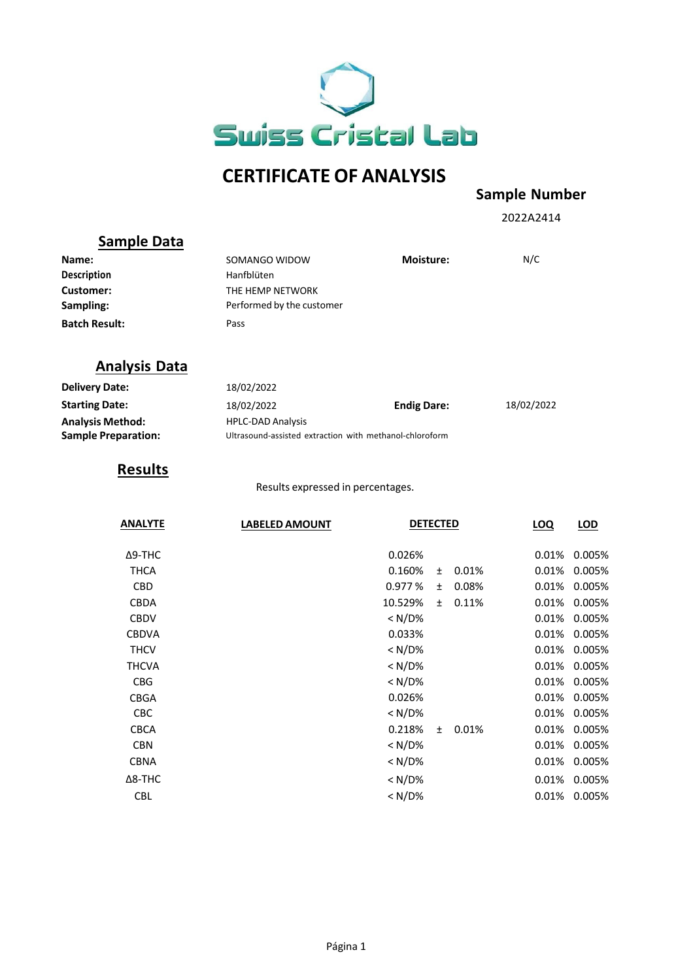

# **CERTIFICATE OF ANALYSIS**

## **Sample Number**

2022A2414

## **Sample Data**

| Name:                | SOMANGO WIDOW             | <b>Moisture:</b> | N/C |
|----------------------|---------------------------|------------------|-----|
| <b>Description</b>   | Hanfblüten                |                  |     |
| Customer:            | THE HEMP NETWORK          |                  |     |
| Sampling:            | Performed by the customer |                  |     |
| <b>Batch Result:</b> | Pass                      |                  |     |

#### **Analysis Data**

| <b>Delivery Date:</b>      | 18/02/2022                                              |                    |            |
|----------------------------|---------------------------------------------------------|--------------------|------------|
| <b>Starting Date:</b>      | 18/02/2022                                              | <b>Endig Dare:</b> | 18/02/2022 |
| <b>Analysis Method:</b>    | <b>HPLC-DAD Analysis</b>                                |                    |            |
| <b>Sample Preparation:</b> | Ultrasound-assisted extraction with methanol-chloroform |                    |            |

## **Results**

Results expressed in percentages.

| <b>ANALYTE</b> | <b>LABELED AMOUNT</b> | <b>DETECTED</b> |       |       | LOQ   | LOD    |
|----------------|-----------------------|-----------------|-------|-------|-------|--------|
| $\Delta$ 9-THC |                       | 0.026%          |       |       | 0.01% | 0.005% |
| <b>THCA</b>    |                       | 0.160%          | Ŧ     | 0.01% | 0.01% | 0.005% |
| <b>CBD</b>     |                       | 0.977%          | $\pm$ | 0.08% | 0.01% | 0.005% |
| <b>CBDA</b>    |                       | 10.529%         | $\pm$ | 0.11% | 0.01% | 0.005% |
| <b>CBDV</b>    |                       | $< N/D\%$       |       |       | 0.01% | 0.005% |
| <b>CBDVA</b>   |                       | 0.033%          |       |       | 0.01% | 0.005% |
| <b>THCV</b>    |                       | < N/D%          |       |       | 0.01% | 0.005% |
| <b>THCVA</b>   |                       | $< N/D\%$       |       |       | 0.01% | 0.005% |
| <b>CBG</b>     |                       | $< N/D\%$       |       |       | 0.01% | 0.005% |
| <b>CBGA</b>    |                       | 0.026%          |       |       | 0.01% | 0.005% |
| <b>CBC</b>     |                       | < N/D%          |       |       | 0.01% | 0.005% |
| <b>CBCA</b>    |                       | 0.218%          | $+$   | 0.01% | 0.01% | 0.005% |
| <b>CBN</b>     |                       | $< N/D\%$       |       |       | 0.01% | 0.005% |
| <b>CBNA</b>    |                       | $< N/D\%$       |       |       | 0.01% | 0.005% |
| $\Delta$ 8-THC |                       | $< N/D\%$       |       |       | 0.01% | 0.005% |
| <b>CBL</b>     |                       | $< N/D\%$       |       |       | 0.01% | 0.005% |